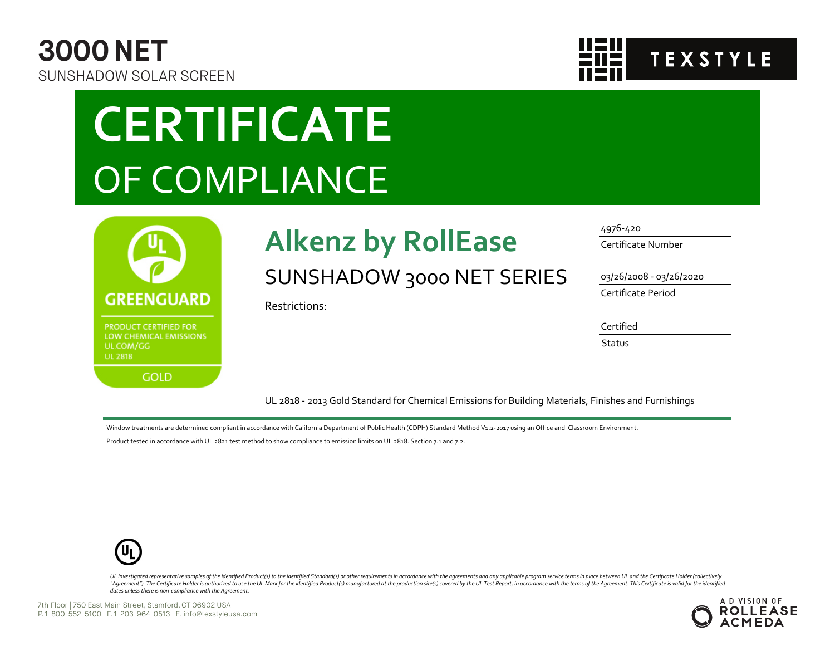



# **CERTIFICATE** OF COMPLIANCE



## **Alkenz by RollEase** SUNSHADOW 3000 NET SERIES

Restrictions:

#### 4976-420

Certificate Number

03/26/2008 - 03/26/2020

Certificate Period

#### Certified

**Status** 

UL 2818 - 2013 Gold Standard for Chemical Emissions for Building Materials, Finishes and Furnishings

Window treatments are determined compliant in accordance with California Department of Public Health (CDPH) Standard Method V1.2-2017 using an Office and Classroom Environment.

Product tested in accordance with UL 2821 test method to show compliance to emission limits on UL 2818. Section 7.1 and 7.2.



UL investigated representative samples of the identified Product(s) to the identified Standard(s) or other requirements in accordance with the agreements and any applicable program service terms in place between UL and the "Agreement"). The Certificate Holder is authorized to use the UL Mark for the identified Product(s) manufactured at the production site(s) covered by the UL Test Report, in accordance with the terms of the Agreement. This *dates unless there is non-compliance with the Agreement.*